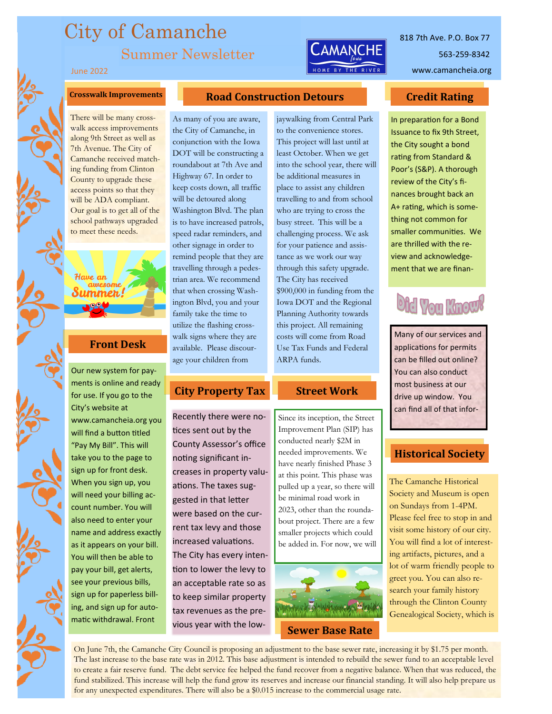# City of Camanche Summer Newsletter

June 2022

#### **Crosswalk Improvements**

There will be many crosswalk access improvements along 9th Street as well as 7th Avenue. The City of Camanche received matching funding from Clinton County to upgrade these access points so that they will be ADA compliant. Our goal is to get all of the school pathways upgraded to meet these needs.

### **Front Desk**

Have an<br>O awesome Summer!

Our new system for payments is online and ready for use. If you go to the City's website at www.camancheia.org you will find a button titled "Pay My Bill". This will take you to the page to sign up for front desk. When you sign up, you will need your billing account number. You will also need to enter your name and address exactly as it appears on your bill. You will then be able to pay your bill, get alerts, see your previous bills, sign up for paperless billing, and sign up for automatic withdrawal. Front

#### **Road Construction Detours**

As many of you are aware, the City of Camanche, in conjunction with the Iowa DOT will be constructing a roundabout at 7th Ave and Highway 67. In order to keep costs down, all traffic will be detoured along Washington Blvd. The plan is to have increased patrols, speed radar reminders, and other signage in order to remind people that they are travelling through a pedestrian area. We recommend that when crossing Washington Blvd, you and your family take the time to utilize the flashing crosswalk signs where they are available. Please discourage your children from

#### **City Property Tax Street Work**

Recently there were notices sent out by the County Assessor's office noting significant increases in property valuations. The taxes suggested in that letter were based on the current tax levy and those increased valuations. The City has every intention to lower the levy to an acceptable rate so as to keep similar property tax revenues as the previous year with the lowjaywalking from Central Park to the convenience stores. This project will last until at least October. When we get into the school year, there will be additional measures in place to assist any children travelling to and from school who are trying to cross the busy street. This will be a challenging process. We ask for your patience and assistance as we work our way through this safety upgrade. The City has received \$900,000 in funding from the Iowa DOT and the Regional Planning Authority towards this project. All remaining costs will come from Road Use Tax Funds and Federal ARPA funds.

**CAMANCHE** 

Since its inception, the Street Improvement Plan (SIP) has conducted nearly \$2M in needed improvements. We have nearly finished Phase 3 at this point. This phase was pulled up a year, so there will be minimal road work in 2023, other than the roundabout project. There are a few smaller projects which could be added in. For now, we will



**Sewer Base Rate**

818 7th Ave. P.O. Box 77 563-259-8342 www.camancheia.org

#### **Credit Rating**

In preparation for a Bond Issuance to fix 9th Street, the City sought a bond rating from Standard & Poor's (S&P). A thorough review of the City's finances brought back an A+ rating, which is something not common for smaller communities. We are thrilled with the review and acknowledgement that we are finan-



Many of our services and applications for permits can be filled out online? You can also conduct most business at our drive up window. You can find all of that infor-

#### **Historical Society**

The Camanche Historical Society and Museum is open on Sundays from 1-4PM. Please feel free to stop in and visit some history of our city. You will find a lot of interesting artifacts, pictures, and a lot of warm friendly people to greet you. You can also research your family history through the Clinton County Genealogical Society, which is

On June 7th, the Camanche City Council is proposing an adjustment to the base sewer rate, increasing it by \$1.75 per month. The last increase to the base rate was in 2012. This base adjustment is intended to rebuild the sewer fund to an acceptable level to create a fair reserve fund. The debt service fee helped the fund recover from a negative balance. When that was reduced, the fund stabilized. This increase will help the fund grow its reserves and increase our financial standing. It will also help prepare us for any unexpected expenditures. There will also be a \$0.015 increase to the commercial usage rate.